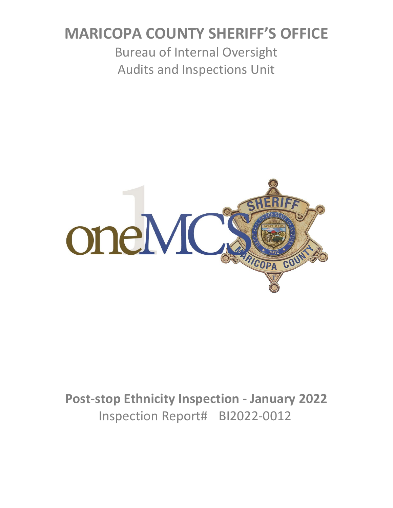# **MARICOPA COUNTY SHERIFF'S OFFICE**

Bureau of Internal Oversight Audits and Inspections Unit



**Post-stop Ethnicity Inspection - January 2022** Inspection Report# BI2022-0012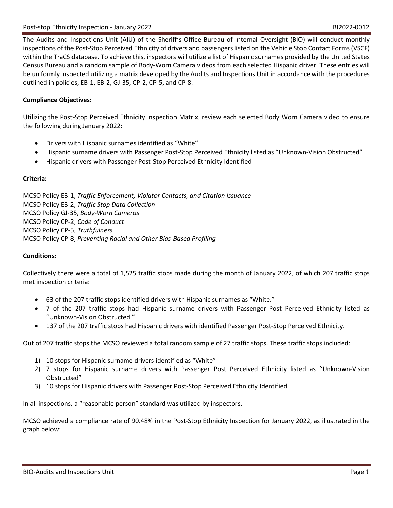The Audits and Inspections Unit (AIU) of the Sheriff's Office Bureau of Internal Oversight (BIO) will conduct monthly inspections of the Post-Stop Perceived Ethnicity of drivers and passengers listed on the Vehicle Stop Contact Forms (VSCF) within the TraCS database. To achieve this, inspectors will utilize a list of Hispanic surnames provided by the United States Census Bureau and a random sample of Body-Worn Camera videos from each selected Hispanic driver. These entries will be uniformly inspected utilizing a matrix developed by the Audits and Inspections Unit in accordance with the procedures outlined in policies, EB-1, EB-2, GJ-35, CP-2, CP-5, and CP-8.

#### **Compliance Objectives:**

Utilizing the Post-Stop Perceived Ethnicity Inspection Matrix, review each selected Body Worn Camera video to ensure the following during January 2022:

- Drivers with Hispanic surnames identified as "White"
- Hispanic surname drivers with Passenger Post-Stop Perceived Ethnicity listed as "Unknown-Vision Obstructed"
- Hispanic drivers with Passenger Post-Stop Perceived Ethnicity Identified

#### **Criteria:**

MCSO Policy EB-1, *Traffic Enforcement, Violator Contacts, and Citation Issuance* MCSO Policy EB-2, *Traffic Stop Data Collection* MCSO Policy GJ-35, *Body-Worn Cameras* MCSO Policy CP-2, *Code of Conduct* MCSO Policy CP-5, *Truthfulness* MCSO Policy CP-8, *Preventing Racial and Other Bias-Based Profiling*

#### **Conditions:**

Collectively there were a total of 1,525 traffic stops made during the month of January 2022, of which 207 traffic stops met inspection criteria:

- 63 of the 207 traffic stops identified drivers with Hispanic surnames as "White."
- 7 of the 207 traffic stops had Hispanic surname drivers with Passenger Post Perceived Ethnicity listed as "Unknown-Vision Obstructed."
- 137 of the 207 traffic stops had Hispanic drivers with identified Passenger Post-Stop Perceived Ethnicity.

Out of 207 traffic stops the MCSO reviewed a total random sample of 27 traffic stops. These traffic stops included:

- 1) 10 stops for Hispanic surname drivers identified as "White"
- 2) 7 stops for Hispanic surname drivers with Passenger Post Perceived Ethnicity listed as "Unknown-Vision Obstructed"
- 3) 10 stops for Hispanic drivers with Passenger Post-Stop Perceived Ethnicity Identified

In all inspections, a "reasonable person" standard was utilized by inspectors.

MCSO achieved a compliance rate of 90.48% in the Post-Stop Ethnicity Inspection for January 2022, as illustrated in the graph below: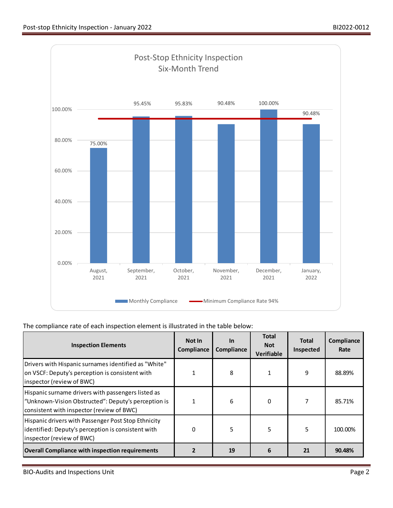

### The compliance rate of each inspection element is illustrated in the table below:

| <b>Inspection Elements</b>                                                                                                                             | Not In<br>Compliance | <u>In</u><br>Compliance | <b>Total</b><br><b>Not</b><br><b>Verifiable</b> | <b>Total</b><br>Inspected | Compliance<br>Rate |
|--------------------------------------------------------------------------------------------------------------------------------------------------------|----------------------|-------------------------|-------------------------------------------------|---------------------------|--------------------|
| Drivers with Hispanic surnames identified as "White"<br>on VSCF: Deputy's perception is consistent with<br>inspector (review of BWC)                   |                      | 8                       |                                                 | 9                         | 88.89%             |
| Hispanic surname drivers with passengers listed as<br>"Unknown-Vision Obstructed": Deputy's perception is<br>consistent with inspector (review of BWC) |                      | 6                       | 0                                               |                           | 85.71%             |
| Hispanic drivers with Passenger Post Stop Ethnicity<br>identified: Deputy's perception is consistent with<br>inspector (review of BWC)                 | 0                    | 5                       | 5                                               | 5                         | 100.00%            |
| <b>Overall Compliance with inspection requirements</b>                                                                                                 |                      | 19                      | 6                                               | 21                        | 90.48%             |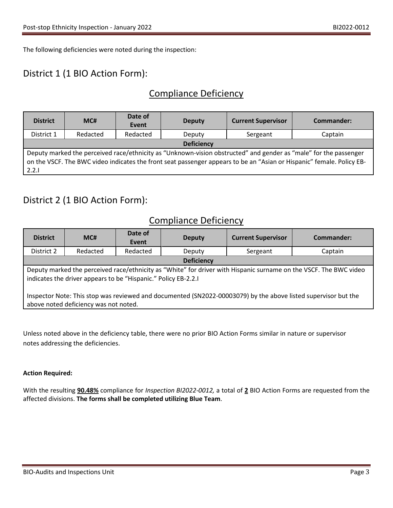The following deficiencies were noted during the inspection:

# District 1 (1 BIO Action Form):

# Compliance Deficiency

| <b>District</b>                                                                                                                                                                                                                                    | MC#      | Date of<br>Event | <b>Deputy</b> | <b>Current Supervisor</b> | Commander: |
|----------------------------------------------------------------------------------------------------------------------------------------------------------------------------------------------------------------------------------------------------|----------|------------------|---------------|---------------------------|------------|
| District 1                                                                                                                                                                                                                                         | Redacted | Redacted         | Deputy        | Sergeant                  | Captain    |
| <b>Deficiency</b>                                                                                                                                                                                                                                  |          |                  |               |                           |            |
| Deputy marked the perceived race/ethnicity as "Unknown-vision obstructed" and gender as "male" for the passenger<br>on the VSCF. The BWC video indicates the front seat passenger appears to be an "Asian or Hispanic" female. Policy EB-<br>2.2.1 |          |                  |               |                           |            |

# District 2 (1 BIO Action Form):

### Compliance Deficiency

| <b>District</b>                                                                                                                                                                     | MC#      | Date of<br>Event | <b>Deputy</b> | <b>Current Supervisor</b> | Commander: |
|-------------------------------------------------------------------------------------------------------------------------------------------------------------------------------------|----------|------------------|---------------|---------------------------|------------|
| District 2                                                                                                                                                                          | Redacted | Redacted         | Deputy        | Sergeant                  | Captain    |
| <b>Deficiency</b>                                                                                                                                                                   |          |                  |               |                           |            |
| Deputy marked the perceived race/ethnicity as "White" for driver with Hispanic surname on the VSCF. The BWC video<br>indicates the driver appears to be "Hispanic." Policy EB-2.2.1 |          |                  |               |                           |            |
| Inspector Note: This stop was reviewed and documented (SN2022-00003079) by the above listed supervisor but the<br>above noted deficiency was not noted.                             |          |                  |               |                           |            |

Unless noted above in the deficiency table, there were no prior BIO Action Forms similar in nature or supervisor notes addressing the deficiencies.

#### **Action Required:**

With the resulting **90.48%** compliance for *Inspection BI2022-0012,* a total of **2** BIO Action Forms are requested from the affected divisions. **The forms shall be completed utilizing Blue Team**.